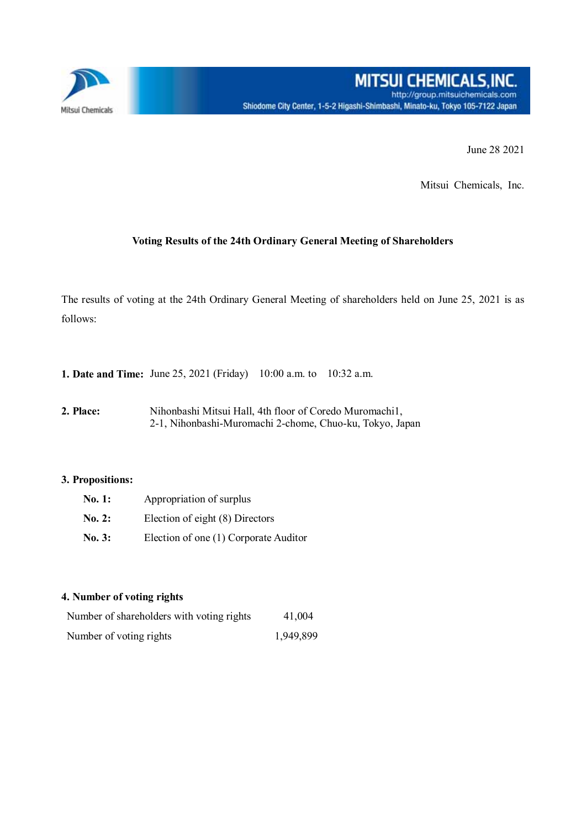

June 28 2021

Mitsui Chemicals, Inc.

## **Voting Results of the 24th Ordinary General Meeting of Shareholders**

The results of voting at the 24th Ordinary General Meeting of shareholders held on June 25, 2021 is as follows:

**1. Date and Time:** June 25, 2021 (Friday) 10:00 a.m. to 10:32 a.m.

**2. Place:** Nihonbashi Mitsui Hall, 4th floor of Coredo Muromachi1, 2-1, Nihonbashi-Muromachi 2-chome, Chuo-ku, Tokyo, Japan

## **3. Propositions:**

| No. 1: | Appropriation of surplus              |  |  |  |
|--------|---------------------------------------|--|--|--|
| No. 2: | Election of eight (8) Directors       |  |  |  |
| No. 3: | Election of one (1) Corporate Auditor |  |  |  |

## **4. Number of voting rights**

| Number of shareholders with voting rights | 41,004    |
|-------------------------------------------|-----------|
| Number of voting rights                   | 1,949,899 |